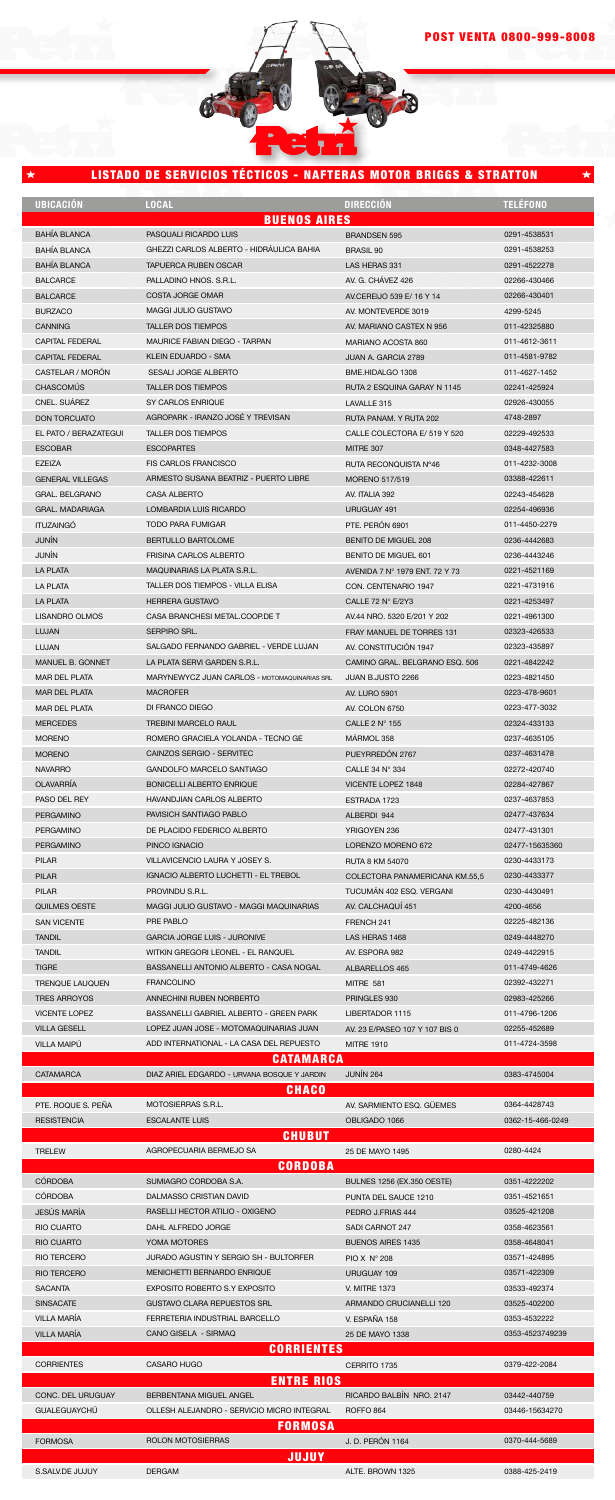| <b>UBICACIÓN</b>                         | <b>LOCAL</b>                                                                 | <b>DIRECCIÓN</b>                                    | <b>TELÉFONO</b>              |
|------------------------------------------|------------------------------------------------------------------------------|-----------------------------------------------------|------------------------------|
|                                          | <b>BUENOS AIRES</b>                                                          |                                                     |                              |
| <b>BAHIA BLANCA</b>                      | PASQUALI RICARDO LUIS                                                        | <b>BRANDSEN 595</b>                                 | 0291-4538531                 |
| <b>BAHÍA BLANCA</b>                      | GHEZZI CARLOS ALBERTO - HIDRÁULICA BAHIA                                     | <b>BRASIL 90</b>                                    | 0291-4538253                 |
| <b>BAHÍA BLANCA</b>                      | <b>TAPUERCA RUBEN OSCAR</b><br>PALLADINO HNOS, S.R.L.                        | LAS HERAS 331                                       | 0291-4522278                 |
| <b>BALCARCE</b><br><b>BALCARCE</b>       | COSTA JORGE OMAR                                                             | AV. G. CHÁVEZ 426<br>AV.CEREIJO 539 E/ 16 Y 14      | 02266-430466<br>02266-430401 |
| <b>BURZACO</b>                           | MAGGI JULIO GUSTAVO                                                          | AV. MONTEVERDE 3019                                 | 4299-5245                    |
| <b>CANNING</b>                           | <b>TALLER DOS TIEMPOS</b>                                                    | AV. MARIANO CASTEX N 956                            | 011-42325880                 |
| <b>CAPITAL FEDERAL</b>                   | MAURICE FABIAN DIEGO - TARPAN                                                | MARIANO ACOSTA 860                                  | 011-4612-3611                |
| <b>CAPITAL FEDERAL</b>                   | <b>KLEIN EDUARDO - SMA</b>                                                   | JUAN A. GARCIA 2789                                 | 011-4581-9782                |
| CASTELAR / MORON                         | SESALI JORGE ALBERTO                                                         | BME.HIDALGO 1308                                    | 011-4627-1452                |
| <b>CHASCOMÚS</b>                         | <b>TALLER DOS TIEMPOS</b>                                                    | RUTA 2 ESQUINA GARAY N 1145                         | 02241-425924                 |
| CNEL. SUAREZ                             | SY CARLOS ENRIQUE                                                            | LAVALLE 315                                         | 02926-430055                 |
| <b>DON TORCUATO</b>                      | AGROPARK - IRANZO JOSÉ Y TREVISAN                                            | RUTA PANAM. Y RUTA 202                              | 4748-2897                    |
| EL PATO / BERAZATEGUI                    | <b>TALLER DOS TIEMPOS</b>                                                    | CALLE COLECTORA E/ 519 Y 520                        | 02229-492533                 |
| <b>ESCOBAR</b>                           | <b>ESCOPARTES</b>                                                            | MITRE 307                                           | 0348-4427583                 |
| <b>EZEIZA</b>                            | <b>FIS CARLOS FRANCISCO</b>                                                  | RUTA RECONQUISTA Nº46                               | 011-4232-3008                |
| <b>GENERAL VILLEGAS</b>                  | ARMESTO SUSANA BEATRIZ - PUERTO LIBRE                                        | <b>MORENO 517/519</b>                               | 03388-422611                 |
| <b>GRAL, BELGRANO</b>                    | CASA ALBERTO                                                                 | AV. ITALIA 392                                      | 02243-454628                 |
| <b>GRAL, MADARIAGA</b>                   | LOMBARDIA LUIS RICARDO                                                       | URUGUAY 491                                         | 02254-496936                 |
| <b>ITUZAINGO</b>                         | <b>TODO PARA FUMIGAR</b>                                                     | PTE. PERÓN 6901                                     | 011-4450-2279                |
| JUNÍN                                    | <b>BERTULLO BARTOLOME</b>                                                    | BENITO DE MIGUEL 208                                | 0236-4442683                 |
| JUNIN                                    | FRISINA CARLOS ALBERTO                                                       | <b>BENITO DE MIGUEL 601</b>                         | 0236-4443246                 |
| <b>LA PLATA</b>                          | MAQUINARIAS LA PLATA S.R.L.                                                  | AVENIDA 7 Nº 1979 ENT. 72 Y 73                      | 0221-4521169                 |
| <b>LA PLATA</b>                          | TALLER DOS TIEMPOS - VILLA ELISA                                             | CON. CENTENARIO 1947                                | 0221-4731916                 |
| LA PLATA                                 | <b>HERRERA GUSTAVO</b>                                                       | CALLE 72 N° E/2Y3                                   | 0221-4253497                 |
| <b>LISANDRO OLMOS</b>                    | CASA BRANCHESI METAL.COOP.DE T                                               | AV.44 NRO. 5320 E/201 Y 202                         | 0221-4961300                 |
| LUJAN<br>LUJAN                           | SERPIRO SRL.<br>SALGADO FERNANDO GABRIEL - VERDE LUJAN                       | FRAY MANUEL DE TORRES 131<br>AV. CONSTITUCIÓN 1947  | 02323-426533                 |
|                                          |                                                                              |                                                     | 02323-435897<br>0221-4842242 |
| MANUEL B. GONNET<br><b>MAR DEL PLATA</b> | LA PLATA SERVI GARDEN S.R.L.<br>MARYNEWYCZ JUAN CARLOS - MOTOMAQUINARIAS SRL | CAMINO GRAL. BELGRANO ESQ. 506<br>JUAN B.JUSTO 2266 | 0223-4821450                 |
| <b>MAR DEL PLATA</b>                     | MACROFER                                                                     | <b>AV. LURO 5901</b>                                | 0223-478-9601                |
| <b>MAR DEL PLATA</b>                     | DI FRANCO DIEGO                                                              | AV. COLON 6750                                      | 0223-477-3032                |
| <b>MERCEDES</b>                          | TREBINI MARCELO RAUL                                                         | <b>CALLE 2 N° 155</b>                               | 02324-433133                 |
| <b>MORENO</b>                            | ROMERO GRACIELA YOLANDA - TECNO GE                                           | MÁRMOL 358                                          | 0237-4635105                 |
| <b>MORENO</b>                            | CAINZOS SERGIO - SERVITEC                                                    | PUEYRREDÓN 2767                                     | 0237-4631478                 |
| <b>NAVARRO</b>                           | GANDOLFO MARCELO SANTIAGO                                                    | CALLE 34 N° 334                                     | 02272-420740                 |
| <b>OLAVARRÍA</b>                         | <b>BONICELLI ALBERTO ENRIQUE</b>                                             | VICENTE LOPEZ 1848                                  | 02284-427867                 |
| PASO DEL REY                             | HAVANDJIAN CARLOS ALBERTO                                                    | ESTRADA 1723                                        | 0237-4637853                 |
| <b>PERGAMINO</b>                         | PAVISICH SANTIAGO PABLO                                                      | ALBERDI 944                                         | 02477-437634                 |
| PERGAMINO                                | DE PLACIDO FEDERICO ALBERTO                                                  | YRIGOYEN 236                                        | 02477-431301                 |
| <b>PERGAMINO</b>                         | PINCO IGNACIO                                                                | LORENZO MORENO 672                                  | 02477-15635360               |
| <b>PILAR</b>                             | VILLAVICENCIO LAURA Y JOSEY S.                                               | <b>RUTA 8 KM 54070</b>                              | 0230-4433173                 |
| <b>PILAR</b>                             | IGNACIO ALBERTO LUCHETTI - EL TREBOL                                         | COLECTORA PANAMERICANA KM.55,5                      | 0230-4433377                 |
| <b>PILAR</b>                             | PROVINDU S.R.L.                                                              | TUCUMAN 402 ESQ. VERGANI                            | 0230-4430491                 |
| <b>QUILMES OESTE</b>                     | MAGGI JULIO GUSTAVO - MAGGI MAQUINARIAS                                      | AV. CALCHAQUI 451                                   | 4200-4656                    |
| <b>SAN VICENTE</b>                       | PRE PABLO                                                                    | FRENCH 241                                          | 02225-482136                 |
| <b>TANDIL</b>                            | <b>GARCIA JORGE LUIS - JURONIVE</b>                                          | LAS HERAS 1468                                      | 0249-4448270                 |
| <b>TANDIL</b>                            | WITKIN GREGORI LEONEL - EL RANQUEL                                           | AV. ESPORA 982                                      | 0249-4422915                 |
| <b>TIGRE</b>                             | BASSANELLI ANTONIO ALBERTO - CASA NOGAL                                      | ALBARELLOS 465                                      | 011-4749-4626                |
| <b>TRENQUE LAUQUEN</b>                   | FRANCOLINO                                                                   | MITRE 581                                           | 02392-432271                 |
| <b>TRES ARROYOS</b>                      | ANNECHINI RUBEN NORBERTO                                                     | PRINGLES 930                                        | 02983-425266                 |
| <b>VICENTE LOPEZ</b>                     | BASSANELLI GABRIEL ALBERTO - GREEN PARK                                      | LIBERTADOR 1115                                     | 011-4796-1206                |
| <b>VILLA GESELL</b>                      | LOPEZ JUAN JOSE - MOTOMAQUINARIAS JUAN                                       | AV. 23 E/PASEO 107 Y 107 BIS 0                      | 02255-452689                 |
| VILLA MAIPÜ                              | ADD INTERNATIONAL - LA CASA DEL REPUESTO                                     | <b>MITRE 1910</b>                                   | 011-4724-3598                |
|                                          | CATAMARCA                                                                    |                                                     |                              |
| <b>CATAMARCA</b>                         | DIAZ ARIEL EDGARDO - URVANA BOSQUE Y JARDIN                                  | JUNIN 264                                           | 0383-4745004                 |
| PTE. ROQUE S. PEÑA                       | <b>CHACO</b><br><b>MOTOSIERRAS S.R.L.</b>                                    | AV. SARMIENTO ESQ. GÜEMES                           | 0364-4428743                 |
| <b>RESISTENCIA</b>                       | <b>ESCALANTE LUIS</b>                                                        | OBLIGADO 1066                                       | 0362-15-466-0249             |
|                                          | <b>CHUBUT</b>                                                                |                                                     |                              |
| <b>TRELEW</b>                            | AGROPECUARIA BERMEJO SA                                                      | 25 DE MAYO 1495                                     | 0280-4424                    |
|                                          | <b>CORDOBA</b>                                                               |                                                     |                              |
| <b>CÓRDOBA</b>                           | SUMIAGRO CORDOBA S.A.                                                        | <b>BULNES 1256 (EX.350 OESTE)</b>                   | 0351-4222202                 |
| <b>CÓRDOBA</b>                           | DALMASSO CRISTIAN DAVID                                                      | PUNTA DEL SAUCE 1210                                | 0351-4521651                 |
| JESÚS MARÍA                              | RASELLI HECTOR ATILIO - OXIGENO                                              | PEDRO J.FRIAS 444                                   | 03525-421208                 |
| <b>RIO CUARTO</b>                        | DAHL ALFREDO JORGE                                                           | SADI CARNOT 247                                     | 0358-4623561                 |
| <b>RIO CUARTO</b>                        | YOMA MOTORES                                                                 | <b>BUENOS AIRES 1435</b>                            | 0358-4648041                 |
| <b>RIO TERCERO</b>                       | JURADO AGUSTIN Y SERGIO SH - BULTORFER                                       | PIO X $N^{\circ}$ 208                               | 03571-424895                 |
| <b>RIO TERCERO</b>                       | MENICHETTI BERNARDO ENRIQUE                                                  | URUGUAY 109                                         | 03571-422309                 |
| <b>SACANTA</b>                           | <b>EXPOSITO ROBERTO S.Y EXPOSITO</b>                                         | <b>V. MITRE 1373</b>                                | 03533-492374                 |
| <b>SINSACATE</b>                         | GUSTAVO CLARA REPUESTOS SRL                                                  | ARMANDO CRUCIANELLI 120                             | 03525-402200                 |
| VILLA MARÍA                              | FERRETERIA INDUSTRIAL BARCELLO                                               | V. ESPAÑA 158                                       | 0353-4532222                 |
| VILLA MARIA                              | CANO GISELA - SIRMAQ                                                         | 25 DE MAYO 1338                                     | 0353-4523749239              |
|                                          | <b>CORRIENTES</b>                                                            |                                                     |                              |
| <b>CORRIENTES</b>                        | <b>CASARO HUGO</b>                                                           | CERRITO 1735                                        | 0379-422-2084                |
|                                          | <b>ENTRE RIOS</b>                                                            |                                                     |                              |
| CONC. DEL URUGUAY                        | BERBENTANA MIGUEL ANGEL                                                      | RICARDO BALBÍN NRO. 2147                            | 03442-440759                 |
| <b>GUALEGUAYCHU</b>                      | OLLESH ALEJANDRO - SERVICIO MICRO INTEGRAL                                   | ROFFO 864                                           | 03446-15634270               |
|                                          | <b>FORMOSA</b>                                                               |                                                     |                              |
| <b>FORMOSA</b>                           | ROLON MOTOSIERRAS<br>JUJUY                                                   | J. D. PERÓN 1164                                    | 0370-444-5689                |
| S.SALV.DE JUJUY                          | <b>DERGAM</b>                                                                | ALTE. BROWN 1325                                    | 0388-425-2419                |

## LISTADO DE SERVICIOS TÉCTICOS - NAFTERAS MOTOR BRIGGS & STRATTON

 $\star$ 



 $\mathbf 6$ 

 $\star$